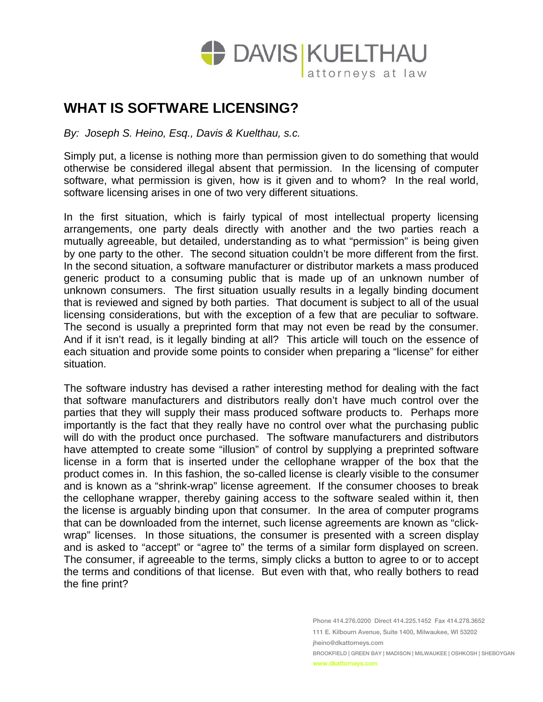

## **WHAT IS SOFTWARE LICENSING?**

*By: Joseph S. Heino, Esq., Davis & Kuelthau, s.c.* 

Simply put, a license is nothing more than permission given to do something that would otherwise be considered illegal absent that permission. In the licensing of computer software, what permission is given, how is it given and to whom? In the real world, software licensing arises in one of two very different situations.

In the first situation, which is fairly typical of most intellectual property licensing arrangements, one party deals directly with another and the two parties reach a mutually agreeable, but detailed, understanding as to what "permission" is being given by one party to the other. The second situation couldn't be more different from the first. In the second situation, a software manufacturer or distributor markets a mass produced generic product to a consuming public that is made up of an unknown number of unknown consumers. The first situation usually results in a legally binding document that is reviewed and signed by both parties. That document is subject to all of the usual licensing considerations, but with the exception of a few that are peculiar to software. The second is usually a preprinted form that may not even be read by the consumer. And if it isn't read, is it legally binding at all? This article will touch on the essence of each situation and provide some points to consider when preparing a "license" for either situation.

The software industry has devised a rather interesting method for dealing with the fact that software manufacturers and distributors really don't have much control over the parties that they will supply their mass produced software products to. Perhaps more importantly is the fact that they really have no control over what the purchasing public will do with the product once purchased. The software manufacturers and distributors have attempted to create some "illusion" of control by supplying a preprinted software license in a form that is inserted under the cellophane wrapper of the box that the product comes in. In this fashion, the so-called license is clearly visible to the consumer and is known as a "shrink-wrap" license agreement. If the consumer chooses to break the cellophane wrapper, thereby gaining access to the software sealed within it, then the license is arguably binding upon that consumer. In the area of computer programs that can be downloaded from the internet, such license agreements are known as "clickwrap" licenses. In those situations, the consumer is presented with a screen display and is asked to "accept" or "agree to" the terms of a similar form displayed on screen. The consumer, if agreeable to the terms, simply clicks a button to agree to or to accept the terms and conditions of that license. But even with that, who really bothers to read the fine print?

> Phone 414.276.0200 Direct 414.225.1452 Fax 414.278.3652 111 E. Kilbourn Avenue, Suite 1400, Milwaukee, WI 53202 jheino@dkattorneys.com BROOKFIELD | GREEN BAY | MADISON | MILWAUKEE | OSHKOSH | SHEBOYGAN www.dkattorneys.com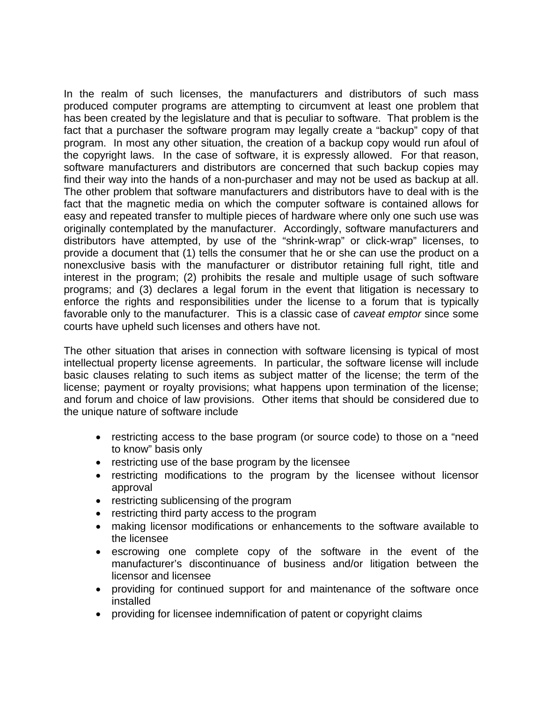In the realm of such licenses, the manufacturers and distributors of such mass produced computer programs are attempting to circumvent at least one problem that has been created by the legislature and that is peculiar to software. That problem is the fact that a purchaser the software program may legally create a "backup" copy of that program. In most any other situation, the creation of a backup copy would run afoul of the copyright laws. In the case of software, it is expressly allowed. For that reason, software manufacturers and distributors are concerned that such backup copies may find their way into the hands of a non-purchaser and may not be used as backup at all. The other problem that software manufacturers and distributors have to deal with is the fact that the magnetic media on which the computer software is contained allows for easy and repeated transfer to multiple pieces of hardware where only one such use was originally contemplated by the manufacturer. Accordingly, software manufacturers and distributors have attempted, by use of the "shrink-wrap" or click-wrap" licenses, to provide a document that (1) tells the consumer that he or she can use the product on a nonexclusive basis with the manufacturer or distributor retaining full right, title and interest in the program; (2) prohibits the resale and multiple usage of such software programs; and (3) declares a legal forum in the event that litigation is necessary to enforce the rights and responsibilities under the license to a forum that is typically favorable only to the manufacturer. This is a classic case of *caveat emptor* since some courts have upheld such licenses and others have not.

The other situation that arises in connection with software licensing is typical of most intellectual property license agreements. In particular, the software license will include basic clauses relating to such items as subject matter of the license; the term of the license; payment or royalty provisions; what happens upon termination of the license; and forum and choice of law provisions. Other items that should be considered due to the unique nature of software include

- restricting access to the base program (or source code) to those on a "need to know" basis only
- restricting use of the base program by the licensee
- restricting modifications to the program by the licensee without licensor approval
- restricting sublicensing of the program
- restricting third party access to the program
- making licensor modifications or enhancements to the software available to the licensee
- escrowing one complete copy of the software in the event of the manufacturer's discontinuance of business and/or litigation between the licensor and licensee
- providing for continued support for and maintenance of the software once installed
- providing for licensee indemnification of patent or copyright claims